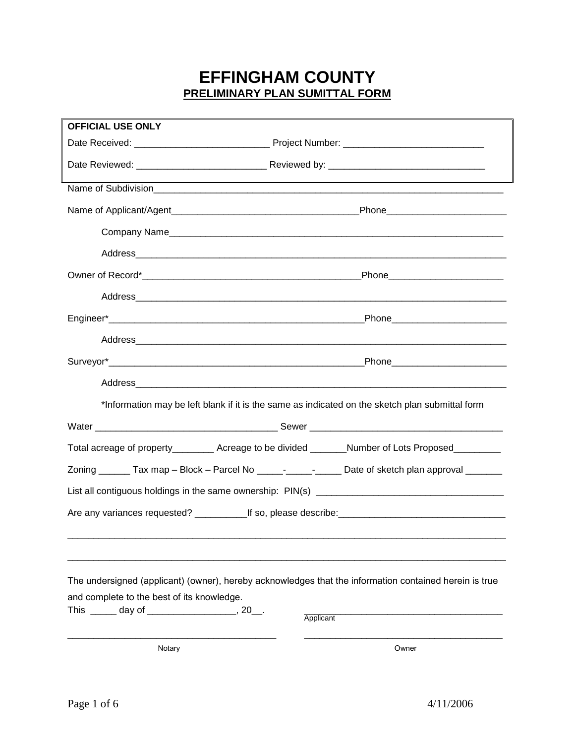## **EFFINGHAM COUNTY PRELIMINARY PLAN SUMITTAL FORM**

| <b>OFFICIAL USE ONLY</b>                      |                                                                                                        |
|-----------------------------------------------|--------------------------------------------------------------------------------------------------------|
|                                               |                                                                                                        |
|                                               |                                                                                                        |
|                                               |                                                                                                        |
|                                               |                                                                                                        |
|                                               |                                                                                                        |
|                                               |                                                                                                        |
|                                               | Phone___________________________                                                                       |
|                                               |                                                                                                        |
|                                               |                                                                                                        |
|                                               |                                                                                                        |
|                                               |                                                                                                        |
|                                               |                                                                                                        |
|                                               | *Information may be left blank if it is the same as indicated on the sketch plan submittal form        |
|                                               |                                                                                                        |
|                                               | Total acreage of property__________ Acreage to be divided ________Number of Lots Proposed__________    |
|                                               | Zoning _______ Tax map - Block - Parcel No _____- ______- Date of sketch plan approval _______         |
|                                               |                                                                                                        |
|                                               |                                                                                                        |
|                                               |                                                                                                        |
|                                               | The undersigned (applicant) (owner), hereby acknowledges that the information contained herein is true |
| and complete to the best of its knowledge.    |                                                                                                        |
| This ______ day of ___________________, 20__. | Applicant                                                                                              |
| Notary                                        | Owner                                                                                                  |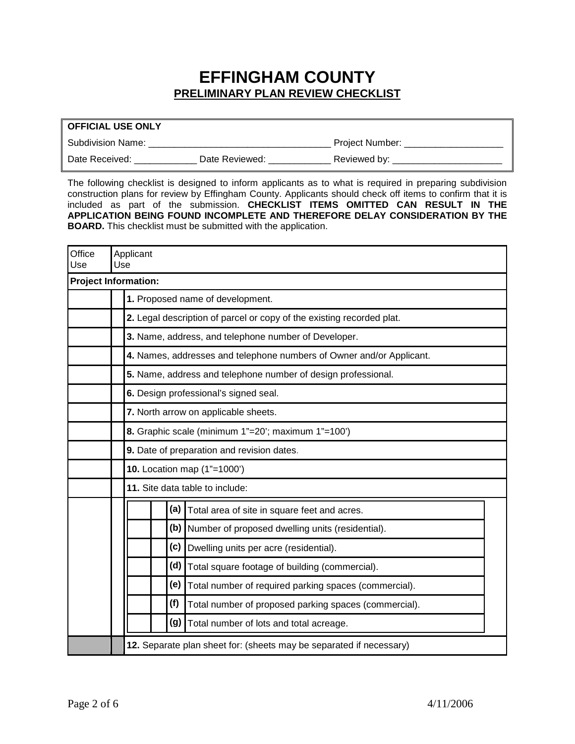## **EFFINGHAM COUNTY PRELIMINARY PLAN REVIEW CHECKLIST**

| <b>OFFICIAL USE ONLY</b> |                |                 |
|--------------------------|----------------|-----------------|
| Subdivision Name:        |                | Project Number: |
| Date Received:           | Date Reviewed: | Reviewed by:    |

The following checklist is designed to inform applicants as to what is required in preparing subdivision construction plans for review by Effingham County. Applicants should check off items to confirm that it is included as part of the submission. **CHECKLIST ITEMS OMITTED CAN RESULT IN THE APPLICATION BEING FOUND INCOMPLETE AND THEREFORE DELAY CONSIDERATION BY THE BOARD.** This checklist must be submitted with the application.

| Office<br>Use               | Use | Applicant |     |                                                                       |  |
|-----------------------------|-----|-----------|-----|-----------------------------------------------------------------------|--|
| <b>Project Information:</b> |     |           |     |                                                                       |  |
|                             |     |           |     | 1. Proposed name of development.                                      |  |
|                             |     |           |     | 2. Legal description of parcel or copy of the existing recorded plat. |  |
|                             |     |           |     | 3. Name, address, and telephone number of Developer.                  |  |
|                             |     |           |     | 4. Names, addresses and telephone numbers of Owner and/or Applicant.  |  |
|                             |     |           |     | 5. Name, address and telephone number of design professional.         |  |
|                             |     |           |     | 6. Design professional's signed seal.                                 |  |
|                             |     |           |     | 7. North arrow on applicable sheets.                                  |  |
|                             |     |           |     | 8. Graphic scale (minimum 1"=20'; maximum 1"=100')                    |  |
|                             |     |           |     | 9. Date of preparation and revision dates.                            |  |
|                             |     |           |     | 10. Location map (1"=1000')                                           |  |
|                             |     |           |     | 11. Site data table to include:                                       |  |
|                             |     |           | (a) | Total area of site in square feet and acres.                          |  |
|                             |     |           | (b) | Number of proposed dwelling units (residential).                      |  |
|                             |     |           | (c) | Dwelling units per acre (residential).                                |  |
|                             |     |           | (d) | Total square footage of building (commercial).                        |  |
|                             |     |           | (e) | Total number of required parking spaces (commercial).                 |  |
|                             |     |           | (f) | Total number of proposed parking spaces (commercial).                 |  |
|                             |     |           | (g) | Total number of lots and total acreage.                               |  |
|                             |     |           |     | 12. Separate plan sheet for: (sheets may be separated if necessary)   |  |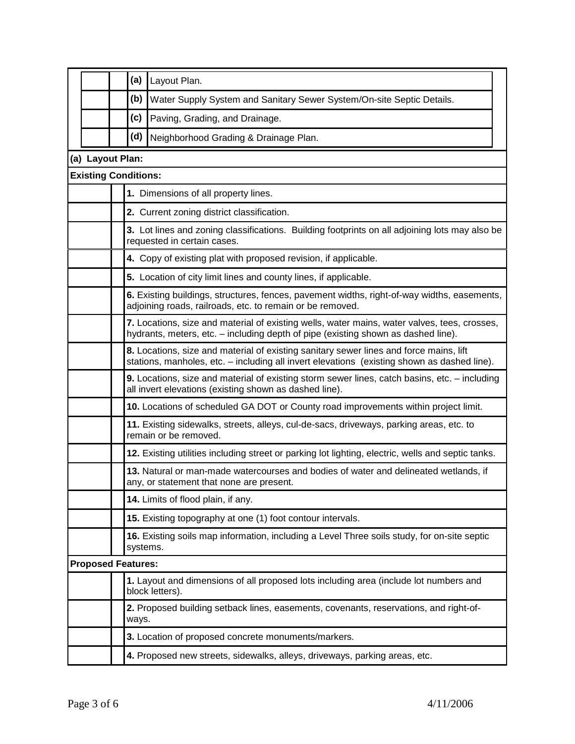|                             | (a)   | Layout Plan.                                                                                                                                                                          |
|-----------------------------|-------|---------------------------------------------------------------------------------------------------------------------------------------------------------------------------------------|
|                             | (b)   | Water Supply System and Sanitary Sewer System/On-site Septic Details.                                                                                                                 |
|                             | (c)   | Paving, Grading, and Drainage.                                                                                                                                                        |
|                             | (d)   | Neighborhood Grading & Drainage Plan.                                                                                                                                                 |
| (a) Layout Plan:            |       |                                                                                                                                                                                       |
| <b>Existing Conditions:</b> |       |                                                                                                                                                                                       |
|                             |       | 1. Dimensions of all property lines.                                                                                                                                                  |
|                             |       | 2. Current zoning district classification.                                                                                                                                            |
|                             |       | 3. Lot lines and zoning classifications. Building footprints on all adjoining lots may also be<br>requested in certain cases.                                                         |
|                             |       | 4. Copy of existing plat with proposed revision, if applicable.                                                                                                                       |
|                             |       | 5. Location of city limit lines and county lines, if applicable.                                                                                                                      |
|                             |       | 6. Existing buildings, structures, fences, pavement widths, right-of-way widths, easements,<br>adjoining roads, railroads, etc. to remain or be removed.                              |
|                             |       | 7. Locations, size and material of existing wells, water mains, water valves, tees, crosses,<br>hydrants, meters, etc. - including depth of pipe (existing shown as dashed line).     |
|                             |       | 8. Locations, size and material of existing sanitary sewer lines and force mains, lift<br>stations, manholes, etc. - including all invert elevations (existing shown as dashed line). |
|                             |       | 9. Locations, size and material of existing storm sewer lines, catch basins, etc. - including<br>all invert elevations (existing shown as dashed line).                               |
|                             |       | 10. Locations of scheduled GA DOT or County road improvements within project limit.                                                                                                   |
|                             |       | 11. Existing sidewalks, streets, alleys, cul-de-sacs, driveways, parking areas, etc. to<br>remain or be removed.                                                                      |
|                             |       | 12. Existing utilities including street or parking lot lighting, electric, wells and septic tanks.                                                                                    |
|                             |       | 13. Natural or man-made watercourses and bodies of water and delineated wetlands, if<br>any, or statement that none are present.                                                      |
|                             |       | 14. Limits of flood plain, if any.                                                                                                                                                    |
|                             |       | 15. Existing topography at one (1) foot contour intervals.                                                                                                                            |
|                             |       | 16. Existing soils map information, including a Level Three soils study, for on-site septic<br>systems.                                                                               |
| <b>Proposed Features:</b>   |       |                                                                                                                                                                                       |
|                             |       | 1. Layout and dimensions of all proposed lots including area (include lot numbers and<br>block letters).                                                                              |
|                             | ways. | 2. Proposed building setback lines, easements, covenants, reservations, and right-of-                                                                                                 |
|                             |       | 3. Location of proposed concrete monuments/markers.                                                                                                                                   |
|                             |       | 4. Proposed new streets, sidewalks, alleys, driveways, parking areas, etc.                                                                                                            |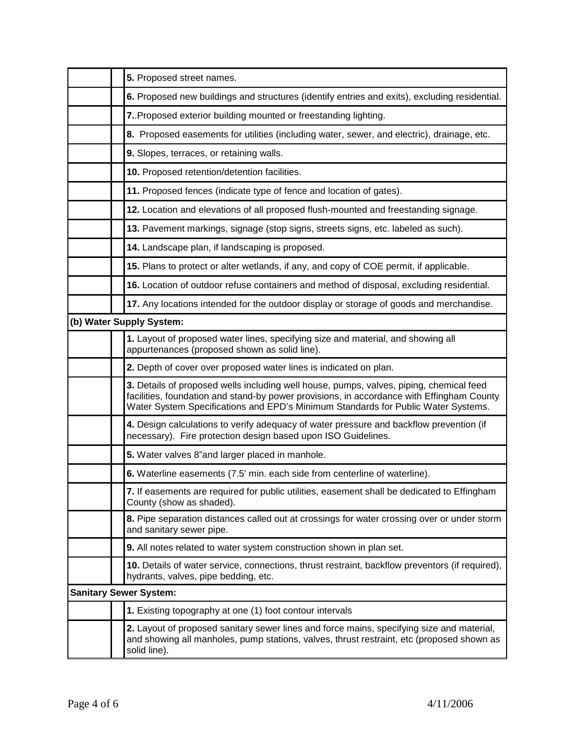| 5. Proposed street names.                                                                                                                                                                                                                                                 |
|---------------------------------------------------------------------------------------------------------------------------------------------------------------------------------------------------------------------------------------------------------------------------|
| 6. Proposed new buildings and structures (identify entries and exits), excluding residential.                                                                                                                                                                             |
| 7. Proposed exterior building mounted or freestanding lighting.                                                                                                                                                                                                           |
| 8. Proposed easements for utilities (including water, sewer, and electric), drainage, etc.                                                                                                                                                                                |
| 9. Slopes, terraces, or retaining walls.                                                                                                                                                                                                                                  |
| 10. Proposed retention/detention facilities.                                                                                                                                                                                                                              |
| 11. Proposed fences (indicate type of fence and location of gates).                                                                                                                                                                                                       |
| 12. Location and elevations of all proposed flush-mounted and freestanding signage.                                                                                                                                                                                       |
| 13. Pavement markings, signage (stop signs, streets signs, etc. labeled as such).                                                                                                                                                                                         |
| 14. Landscape plan, if landscaping is proposed.                                                                                                                                                                                                                           |
| 15. Plans to protect or alter wetlands, if any, and copy of COE permit, if applicable.                                                                                                                                                                                    |
| 16. Location of outdoor refuse containers and method of disposal, excluding residential.                                                                                                                                                                                  |
| 17. Any locations intended for the outdoor display or storage of goods and merchandise.                                                                                                                                                                                   |
| (b) Water Supply System:                                                                                                                                                                                                                                                  |
| 1. Layout of proposed water lines, specifying size and material, and showing all<br>appurtenances (proposed shown as solid line).                                                                                                                                         |
| 2. Depth of cover over proposed water lines is indicated on plan.                                                                                                                                                                                                         |
| 3. Details of proposed wells including well house, pumps, valves, piping, chemical feed<br>facilities, foundation and stand-by power provisions, in accordance with Effingham County<br>Water System Specifications and EPD's Minimum Standards for Public Water Systems. |
| 4. Design calculations to verify adequacy of water pressure and backflow prevention (if<br>necessary). Fire protection design based upon ISO Guidelines.                                                                                                                  |
| 5. Water valves 8"and larger placed in manhole.                                                                                                                                                                                                                           |
| 6. Waterline easements (7.5' min. each side from centerline of waterline).                                                                                                                                                                                                |
| 7. If easements are required for public utilities, easement shall be dedicated to Effingham<br>County (show as shaded).                                                                                                                                                   |
| 8. Pipe separation distances called out at crossings for water crossing over or under storm<br>and sanitary sewer pipe.                                                                                                                                                   |
| 9. All notes related to water system construction shown in plan set.                                                                                                                                                                                                      |
| 10. Details of water service, connections, thrust restraint, backflow preventors (if required),<br>hydrants, valves, pipe bedding, etc.                                                                                                                                   |
| <b>Sanitary Sewer System:</b>                                                                                                                                                                                                                                             |
| 1. Existing topography at one (1) foot contour intervals                                                                                                                                                                                                                  |
| 2. Layout of proposed sanitary sewer lines and force mains, specifying size and material,<br>and showing all manholes, pump stations, valves, thrust restraint, etc (proposed shown as<br>solid line).                                                                    |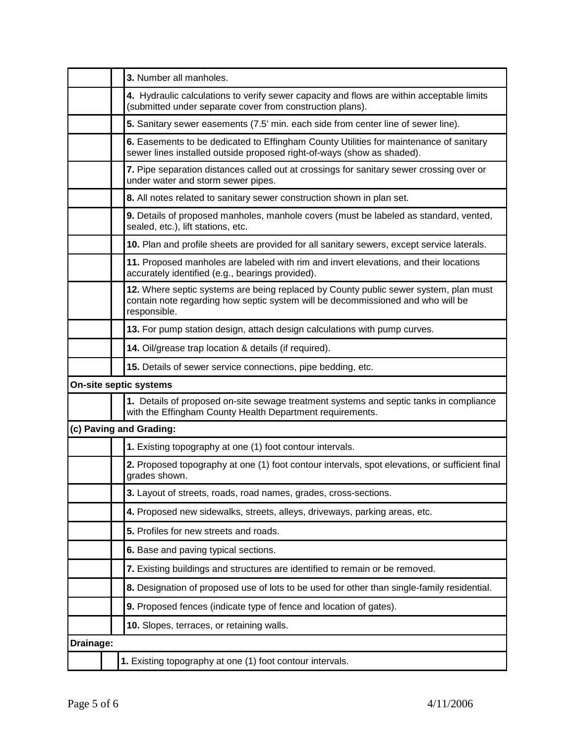|           | 3. Number all manholes.                                                                                                                                                                 |
|-----------|-----------------------------------------------------------------------------------------------------------------------------------------------------------------------------------------|
|           | 4. Hydraulic calculations to verify sewer capacity and flows are within acceptable limits<br>(submitted under separate cover from construction plans).                                  |
|           | 5. Sanitary sewer easements (7.5' min. each side from center line of sewer line).                                                                                                       |
|           | 6. Easements to be dedicated to Effingham County Utilities for maintenance of sanitary<br>sewer lines installed outside proposed right-of-ways (show as shaded).                        |
|           | 7. Pipe separation distances called out at crossings for sanitary sewer crossing over or<br>under water and storm sewer pipes.                                                          |
|           | 8. All notes related to sanitary sewer construction shown in plan set.                                                                                                                  |
|           | 9. Details of proposed manholes, manhole covers (must be labeled as standard, vented,<br>sealed, etc.), lift stations, etc.                                                             |
|           | 10. Plan and profile sheets are provided for all sanitary sewers, except service laterals.                                                                                              |
|           | 11. Proposed manholes are labeled with rim and invert elevations, and their locations<br>accurately identified (e.g., bearings provided).                                               |
|           | 12. Where septic systems are being replaced by County public sewer system, plan must<br>contain note regarding how septic system will be decommissioned and who will be<br>responsible. |
|           | 13. For pump station design, attach design calculations with pump curves.                                                                                                               |
|           | 14. Oil/grease trap location & details (if required).                                                                                                                                   |
|           | 15. Details of sewer service connections, pipe bedding, etc.                                                                                                                            |
|           | <b>On-site septic systems</b>                                                                                                                                                           |
|           | 1. Details of proposed on-site sewage treatment systems and septic tanks in compliance<br>with the Effingham County Health Department requirements.                                     |
|           | (c) Paving and Grading:                                                                                                                                                                 |
|           | 1. Existing topography at one (1) foot contour intervals.                                                                                                                               |
|           | 2. Proposed topography at one (1) foot contour intervals, spot elevations, or sufficient final<br>grades shown.                                                                         |
|           | 3. Layout of streets, roads, road names, grades, cross-sections.                                                                                                                        |
|           | 4. Proposed new sidewalks, streets, alleys, driveways, parking areas, etc.                                                                                                              |
|           | 5. Profiles for new streets and roads.                                                                                                                                                  |
|           | 6. Base and paving typical sections.                                                                                                                                                    |
|           | 7. Existing buildings and structures are identified to remain or be removed.                                                                                                            |
|           | 8. Designation of proposed use of lots to be used for other than single-family residential.                                                                                             |
|           | 9. Proposed fences (indicate type of fence and location of gates).                                                                                                                      |
|           | 10. Slopes, terraces, or retaining walls.                                                                                                                                               |
| Drainage: |                                                                                                                                                                                         |
|           | 1. Existing topography at one (1) foot contour intervals.                                                                                                                               |